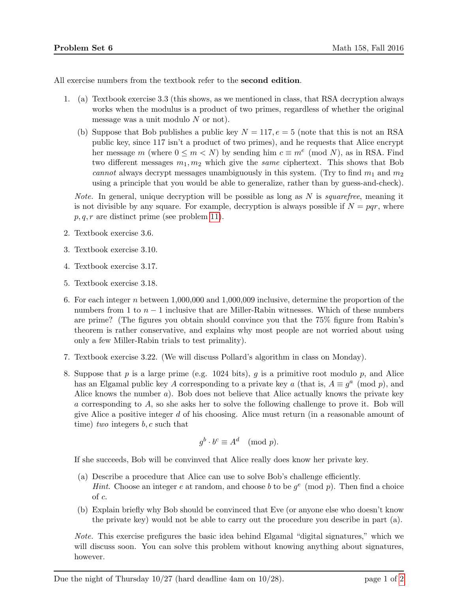All exercise numbers from the textbook refer to the **second edition**.

- 1. (a) Textbook exercise 3.3 (this shows, as we mentioned in class, that RSA decryption always works when the modulus is a product of two primes, regardless of whether the original message was a unit modulo  $N$  or not).
	- (b) Suppose that Bob publishes a public key  $N = 117, e = 5$  (note that this is not an RSA public key, since 117 isn't a product of two primes), and he requests that Alice encrypt her message m (where  $0 \le m < N$ ) by sending him  $c \equiv m^e \pmod{N}$ , as in RSA. Find two different messages  $m_1, m_2$  which give the *same* ciphertext. This shows that Bob cannot always decrypt messages unambiguously in this system. (Try to find  $m_1$  and  $m_2$ using a principle that you would be able to generalize, rather than by guess-and-check).

*Note.* In general, unique decryption will be possible as long as  $N$  is *squarefree*, meaning it is not divisible by any square. For example, decryption is always possible if  $N = pqr$ , where  $p, q, r$  are distinct prime (see problem [11\)](#page-1-0).

- 2. Textbook exercise 3.6.
- 3. Textbook exercise 3.10.
- 4. Textbook exercise 3.17.
- 5. Textbook exercise 3.18.
- 6. For each integer n between  $1,000,000$  and  $1,000,009$  inclusive, determine the proportion of the numbers from 1 to  $n-1$  inclusive that are Miller-Rabin witnesses. Which of these numbers are prime? (The figures you obtain should convince you that the 75% figure from Rabin's theorem is rather conservative, and explains why most people are not worried about using only a few Miller-Rabin trials to test primality).
- 7. Textbook exercise 3.22. (We will discuss Pollard's algorithm in class on Monday).
- 8. Suppose that p is a large prime (e.g. 1024 bits), q is a primitive root modulo p, and Alice has an Elgamal public key A corresponding to a private key a (that is,  $A \equiv g^a \pmod{p}$ , and Alice knows the number  $a$ ). Bob does not believe that Alice actually knows the private key a corresponding to A, so she asks her to solve the following challenge to prove it. Bob will give Alice a positive integer  $d$  of his choosing. Alice must return (in a reasonable amount of time) two integers  $b, c$  such that

$$
g^b \cdot b^c \equiv A^d \pmod{p}.
$$

If she succeeds, Bob will be convinved that Alice really does know her private key.

- (a) Describe a procedure that Alice can use to solve Bob's challenge efficiently. *Hint.* Choose an integer e at random, and choose b to be  $g^e \pmod{p}$ . Then find a choice of c.
- (b) Explain briefly why Bob should be convinced that Eve (or anyone else who doesn't know the private key) would not be able to carry out the procedure you describe in part (a).

Note. This exercise prefigures the basic idea behind Elgamal "digital signatures," which we will discuss soon. You can solve this problem without knowing anything about signatures, however.